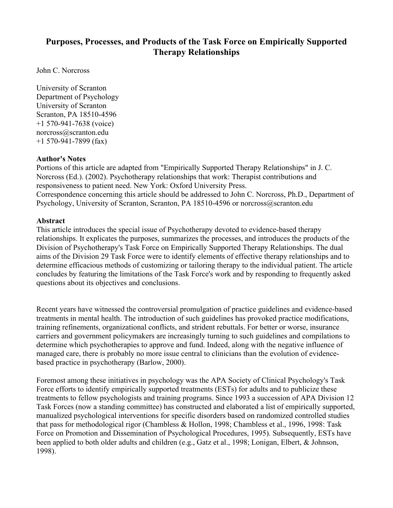# Purposes, Processes, and Products of the Task Force on Empirically Supported Therapy Relationships

John C. Norcross

University of Scranton Department of Psychology University of Scranton Scranton, PA 18510-4596 +1 570-941-7638 (voice) norcross@scranton.edu +1 570-941-7899 (fax)

#### Author's Notes

Portions of this article are adapted from "Empirically Supported Therapy Relationships" in J. C. Norcross (Ed.). (2002). Psychotherapy relationships that work: Therapist contributions and responsiveness to patient need. New York: Oxford University Press. Correspondence concerning this article should be addressed to John C. Norcross, Ph.D., Department of Psychology, University of Scranton, Scranton, PA 18510-4596 or norcross@scranton.edu

#### Abstract

This article introduces the special issue of Psychotherapy devoted to evidence-based therapy relationships. It explicates the purposes, summarizes the processes, and introduces the products of the Division of Psychotherapy's Task Force on Empirically Supported Therapy Relationships. The dual aims of the Division 29 Task Force were to identify elements of effective therapy relationships and to determine efficacious methods of customizing or tailoring therapy to the individual patient. The article concludes by featuring the limitations of the Task Force's work and by responding to frequently asked questions about its objectives and conclusions.

Recent years have witnessed the controversial promulgation of practice guidelines and evidence-based treatments in mental health. The introduction of such guidelines has provoked practice modifications, training refinements, organizational conflicts, and strident rebuttals. For better or worse, insurance carriers and government policymakers are increasingly turning to such guidelines and compilations to determine which psychotherapies to approve and fund. Indeed, along with the negative influence of managed care, there is probably no more issue central to clinicians than the evolution of evidencebased practice in psychotherapy (Barlow, 2000).

Foremost among these initiatives in psychology was the APA Society of Clinical Psychology's Task Force efforts to identify empirically supported treatments (ESTs) for adults and to publicize these treatments to fellow psychologists and training programs. Since 1993 a succession of APA Division 12 Task Forces (now a standing committee) has constructed and elaborated a list of empirically supported, manualized psychological interventions for specific disorders based on randomized controlled studies that pass for methodological rigor (Chambless & Hollon, 1998; Chambless et al., 1996, 1998: Task Force on Promotion and Dissemination of Psychological Procedures, 1995). Subsequently, ESTs have been applied to both older adults and children (e.g., Gatz et al., 1998; Lonigan, Elbert, & Johnson, 1998).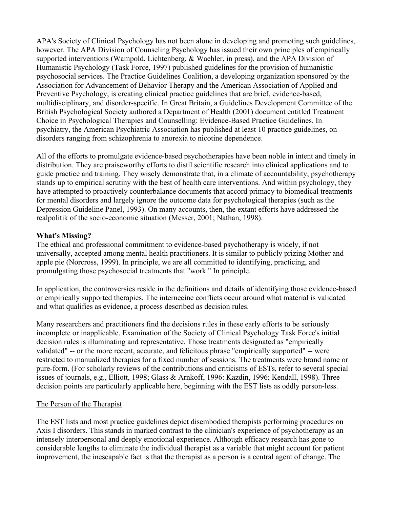APA's Society of Clinical Psychology has not been alone in developing and promoting such guidelines, however. The APA Division of Counseling Psychology has issued their own principles of empirically supported interventions (Wampold, Lichtenberg, & Waehler, in press), and the APA Division of Humanistic Psychology (Task Force, 1997) published guidelines for the provision of humanistic psychosocial services. The Practice Guidelines Coalition, a developing organization sponsored by the Association for Advancement of Behavior Therapy and the American Association of Applied and Preventive Psychology, is creating clinical practice guidelines that are brief, evidence-based, multidisciplinary, and disorder-specific. In Great Britain, a Guidelines Development Committee of the British Psychological Society authored a Department of Health (2001) document entitled Treatment Choice in Psychological Therapies and Counselling: Evidence-Based Practice Guidelines. In psychiatry, the American Psychiatric Association has published at least 10 practice guidelines, on disorders ranging from schizophrenia to anorexia to nicotine dependence.

All of the efforts to promulgate evidence-based psychotherapies have been noble in intent and timely in distribution. They are praiseworthy efforts to distil scientific research into clinical applications and to guide practice and training. They wisely demonstrate that, in a climate of accountability, psychotherapy stands up to empirical scrutiny with the best of health care interventions. And within psychology, they have attempted to proactively counterbalance documents that accord primacy to biomedical treatments for mental disorders and largely ignore the outcome data for psychological therapies (such as the Depression Guideline Panel, 1993). On many accounts, then, the extant efforts have addressed the realpolitik of the socio-economic situation (Messer, 2001; Nathan, 1998).

## What's Missing?

The ethical and professional commitment to evidence-based psychotherapy is widely, if not universally, accepted among mental health practitioners. It is similar to publicly prizing Mother and apple pie (Norcross, 1999). In principle, we are all committed to identifying, practicing, and promulgating those psychosocial treatments that "work." In principle.

In application, the controversies reside in the definitions and details of identifying those evidence-based or empirically supported therapies. The internecine conflicts occur around what material is validated and what qualifies as evidence, a process described as decision rules.

Many researchers and practitioners find the decisions rules in these early efforts to be seriously incomplete or inapplicable. Examination of the Society of Clinical Psychology Task Force's initial decision rules is illuminating and representative. Those treatments designated as "empirically validated" -- or the more recent, accurate, and felicitous phrase "empirically supported" -- were restricted to manualized therapies for a fixed number of sessions. The treatments were brand name or pure-form. (For scholarly reviews of the contributions and criticisms of ESTs, refer to several special issues of journals, e.g., Elliott, 1998; Glass & Arnkoff, 1996: Kazdin, 1996; Kendall, 1998). Three decision points are particularly applicable here, beginning with the EST lists as oddly person-less.

## The Person of the Therapist

The EST lists and most practice guidelines depict disembodied therapists performing procedures on Axis I disorders. This stands in marked contrast to the clinician's experience of psychotherapy as an intensely interpersonal and deeply emotional experience. Although efficacy research has gone to considerable lengths to eliminate the individual therapist as a variable that might account for patient improvement, the inescapable fact is that the therapist as a person is a central agent of change. The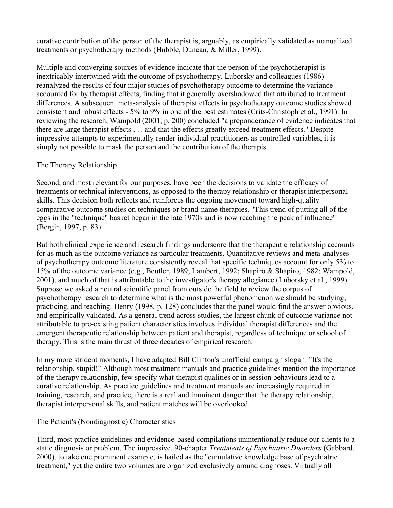curative contribution of the person of the therapist is, arguably, as empirically validated as manualized treatments or psychotherapy methods (Hubble, Duncan, & Miller, 1999).

Multiple and converging sources of evidence indicate that the person of the psychotherapist is inextricably intertwined with the outcome of psychotherapy. Luborsky and colleagues (1986) reanalyzed the results of four major studies of psychotherapy outcome to determine the variance accounted for by therapist effects, finding that it generally overshadowed that attributed to treatment differences. A subsequent meta-analysis of therapist effects in psychotherapy outcome studies showed consistent and robust effects - 5% to 9% in one of the best estimates (Crits-Christoph et al., 1991). In reviewing the research, Wampold (2001, p. 200) concluded "a preponderance of evidence indicates that there are large therapist effects . . . and that the effects greatly exceed treatment effects." Despite impressive attempts to experimentally render individual practitioners as controlled variables, it is simply not possible to mask the person and the contribution of the therapist.

## The Therapy Relationship

Second, and most relevant for our purposes, have been the decisions to validate the efficacy of treatments or technical interventions, as opposed to the therapy relationship or therapist interpersonal skills. This decision both reflects and reinforces the ongoing movement toward high-quality comparative outcome studies on techniques or brand-name therapies. "This trend of putting all of the eggs in the "technique" basket began in the late 1970s and is now reaching the peak of influence" (Bergin, 1997, p. 83).

But both clinical experience and research findings underscore that the therapeutic relationship accounts for as much as the outcome variance as particular treatments. Quantitative reviews and meta-analyses of psychotherapy outcome literature consistently reveal that specific techniques account for only 5% to 15% of the outcome variance (e.g., Beutler, 1989; Lambert, 1992; Shapiro & Shapiro, 1982; Wampold, 2001), and much of that is attributable to the investigator's therapy allegiance (Luborsky et al., 1999). Suppose we asked a neutral scientific panel from outside the field to review the corpus of psychotherapy research to determine what is the most powerful phenomenon we should be studying, practicing, and teaching. Henry (1998, p. 128) concludes that the panel would find the answer obvious, and empirically validated. As a general trend across studies, the largest chunk of outcome variance not attributable to pre-existing patient characteristics involves individual therapist differences and the emergent therapeutic relationship between patient and therapist, regardless of technique or school of therapy. This is the main thrust of three decades of empirical research.

In my more strident moments, I have adapted Bill Clinton's unofficial campaign slogan: "It's the relationship, stupid!" Although most treatment manuals and practice guidelines mention the importance of the therapy relationship, few specify what therapist qualities or in-session behaviours lead to a curative relationship. As practice guidelines and treatment manuals are increasingly required in training, research, and practice, there is a real and imminent danger that the therapy relationship, therapist interpersonal skills, and patient matches will be overlooked.

## The Patient's (Nondiagnostic) Characteristics

Third, most practice guidelines and evidence-based compilations unintentionally reduce our clients to a static diagnosis or problem. The impressive, 90-chapter *Treatments of Psychiatric Disorders* (Gabbard, 2000), to take one prominent example, is hailed as the "cumulative knowledge base of psychiatric treatment," yet the entire two volumes are organized exclusively around diagnoses. Virtually all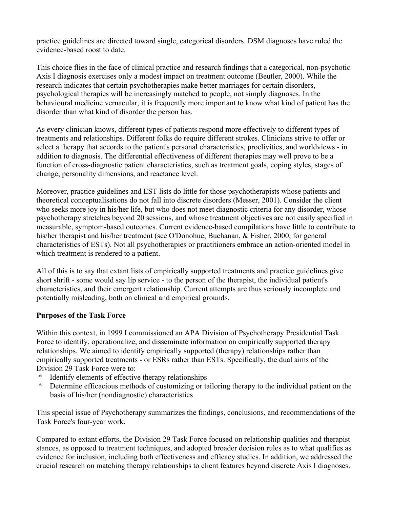practice guidelines are directed toward single, categorical disorders. DSM diagnoses have ruled the evidence-based roost to date.

This choice flies in the face of clinical practice and research findings that a categorical, non-psychotic Axis I diagnosis exercises only a modest impact on treatment outcome (Beutler, 2000). While the research indicates that certain psychotherapies make better marriages for certain disorders, psychological therapies will be increasingly matched to people, not simply diagnoses. In the behavioural medicine vernacular, it is frequently more important to know what kind of patient has the disorder than what kind of disorder the person has.

As every clinician knows, different types of patients respond more effectively to different types of treatments and relationships. Different folks do require different strokes. Clinicians strive to offer or select a therapy that accords to the patient's personal characteristics, proclivities, and worldviews - in addition to diagnosis. The differential effectiveness of different therapies may well prove to be a function of cross-diagnostic patient characteristics, such as treatment goals, coping styles, stages of change, personality dimensions, and reactance level.

Moreover, practice guidelines and EST lists do little for those psychotherapists whose patients and theoretical conceptualisations do not fall into discrete disorders (Messer, 2001). Consider the client who seeks more joy in his/her life, but who does not meet diagnostic criteria for any disorder, whose psychotherapy stretches beyond 20 sessions, and whose treatment objectives are not easily specified in measurable, symptom-based outcomes. Current evidence-based compilations have little to contribute to his/her therapist and his/her treatment (see O'Donohue, Buchanan, & Fisher, 2000, for general characteristics of ESTs). Not all psychotherapies or practitioners embrace an action-oriented model in which treatment is rendered to a patient.

All of this is to say that extant lists of empirically supported treatments and practice guidelines give short shrift - some would say lip service - to the person of the therapist, the individual patient's characteristics, and their emergent relationship. Current attempts are thus seriously incomplete and potentially misleading, both on clinical and empirical grounds.

## Purposes of the Task Force

Within this context, in 1999 I commissioned an APA Division of Psychotherapy Presidential Task Force to identify, operationalize, and disseminate information on empirically supported therapy relationships. We aimed to identify empirically supported (therapy) relationships rather than empirically supported treatments - or ESRs rather than ESTs. Specifically, the dual aims of the Division 29 Task Force were to:

- Identify elements of effective therapy relationships
- \* Determine efficacious methods of customizing or tailoring therapy to the individual patient on the basis of his/her (nondiagnostic) characteristics

This special issue of Psychotherapy summarizes the findings, conclusions, and recommendations of the Task Force's four-year work.

Compared to extant efforts, the Division 29 Task Force focused on relationship qualities and therapist stances, as opposed to treatment techniques, and adopted broader decision rules as to what qualifies as evidence for inclusion, including both effectiveness and efficacy studies. In addition, we addressed the crucial research on matching therapy relationships to client features beyond discrete Axis I diagnoses.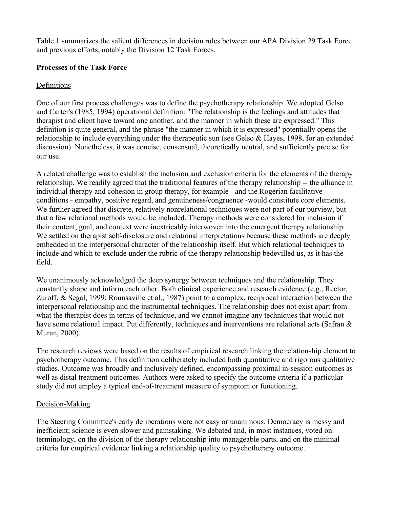Table 1 summarizes the salient differences in decision rules between our APA Division 29 Task Force and previous efforts, notably the Division 12 Task Forces.

## Processes of the Task Force

## Definitions

One of our first process challenges was to define the psychotherapy relationship. We adopted Gelso and Carter's (1985, 1994) operational definition: "The relationship is the feelings and attitudes that therapist and client have toward one another, and the manner in which these are expressed." This definition is quite general, and the phrase "the manner in which it is expressed" potentially opens the relationship to include everything under the therapeutic sun (see Gelso & Hayes, 1998, for an extended discussion). Nonetheless, it was concise, consensual, theoretically neutral, and sufficiently precise for our use.

A related challenge was to establish the inclusion and exclusion criteria for the elements of the therapy relationship. We readily agreed that the traditional features of the therapy relationship -- the alliance in individual therapy and cohesion in group therapy, for example - and the Rogerian facilitative conditions - empathy, positive regard, and genuineness/congruence -would constitute core elements. We further agreed that discrete, relatively nonrelational techniques were not part of our purview, but that a few relational methods would be included. Therapy methods were considered for inclusion if their content, goal, and context were inextricably interwoven into the emergent therapy relationship. We settled on therapist self-disclosure and relational interpretations because these methods are deeply embedded in the interpersonal character of the relationship itself. But which relational techniques to include and which to exclude under the rubric of the therapy relationship bedevilled us, as it has the field.

We unanimously acknowledged the deep synergy between techniques and the relationship. They constantly shape and inform each other. Both clinical experience and research evidence (e.g., Rector, Zuroff, & Segal, 1999; Rounsaville et al., 1987) point to a complex, reciprocal interaction between the interpersonal relationship and the instrumental techniques. The relationship does not exist apart from what the therapist does in terms of technique, and we cannot imagine any techniques that would not have some relational impact. Put differently, techniques and interventions are relational acts (Safran & Muran, 2000).

The research reviews were based on the results of empirical research linking the relationship element to psychotherapy outcome. This definition deliberately included both quantitative and rigorous qualitative studies. Outcome was broadly and inclusively defined, encompassing proximal in-session outcomes as well as distal treatment outcomes. Authors were asked to specify the outcome criteria if a particular study did not employ a typical end-of-treatment measure of symptom or functioning.

## Decision-Making

The Steering Committee's early deliberations were not easy or unanimous. Democracy is messy and inefficient; science is even slower and painstaking. We debated and, in most instances, voted on terminology, on the division of the therapy relationship into manageable parts, and on the minimal criteria for empirical evidence linking a relationship quality to psychotherapy outcome.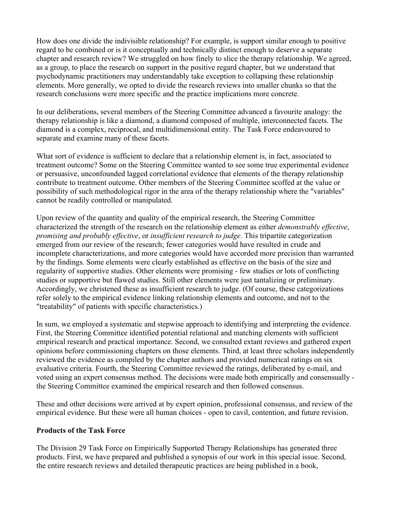How does one divide the indivisible relationship? For example, is support similar enough to positive regard to be combined or is it conceptually and technically distinct enough to deserve a separate chapter and research review? We struggled on how finely to slice the therapy relationship. We agreed, as a group, to place the research on support in the positive regard chapter, but we understand that psychodynamic practitioners may understandably take exception to collapsing these relationship elements. More generally, we opted to divide the research reviews into smaller chunks so that the research conclusions were more specific and the practice implications more concrete.

In our deliberations, several members of the Steering Committee advanced a favourite analogy: the therapy relationship is like a diamond, a diamond composed of multiple, interconnected facets. The diamond is a complex, reciprocal, and multidimensional entity. The Task Force endeavoured to separate and examine many of these facets.

What sort of evidence is sufficient to declare that a relationship element is, in fact, associated to treatment outcome? Some on the Steering Committee wanted to see some true experimental evidence or persuasive, unconfounded lagged correlational evidence that elements of the therapy relationship contribute to treatment outcome. Other members of the Steering Committee scoffed at the value or possibility of such methodological rigor in the area of the therapy relationship where the "variables" cannot be readily controlled or manipulated.

Upon review of the quantity and quality of the empirical research, the Steering Committee characterized the strength of the research on the relationship element as either *demonstrably effective*, *promising and probably effective*, or *insufficient research to judge*. This tripartite categorization emerged from our review of the research; fewer categories would have resulted in crude and incomplete characterizations, and more categories would have accorded more precision than warranted by the findings. Some elements were clearly established as effective on the basis of the size and regularity of supportive studies. Other elements were promising - few studies or lots of conflicting studies or supportive but flawed studies. Still other elements were just tantalizing or preliminary. Accordingly, we christened these as insufficient research to judge. (Of course, these categorizations refer solely to the empirical evidence linking relationship elements and outcome, and not to the "treatability" of patients with specific characteristics.)

In sum, we employed a systematic and stepwise approach to identifying and interpreting the evidence. First, the Steering Committee identified potential relational and matching elements with sufficient empirical research and practical importance. Second, we consulted extant reviews and gathered expert opinions before commissioning chapters on those elements. Third, at least three scholars independently reviewed the evidence as compiled by the chapter authors and provided numerical ratings on six evaluative criteria. Fourth, the Steering Committee reviewed the ratings, deliberated by e-mail, and voted using an expert consensus method. The decisions were made both empirically and consensually the Steering Committee examined the empirical research and then followed consensus.

These and other decisions were arrived at by expert opinion, professional consensus, and review of the empirical evidence. But these were all human choices - open to cavil, contention, and future revision.

## Products of the Task Force

The Division 29 Task Force on Empirically Supported Therapy Relationships has generated three products. First, we have prepared and published a synopsis of our work in this special issue. Second, the entire research reviews and detailed therapeutic practices are being published in a book,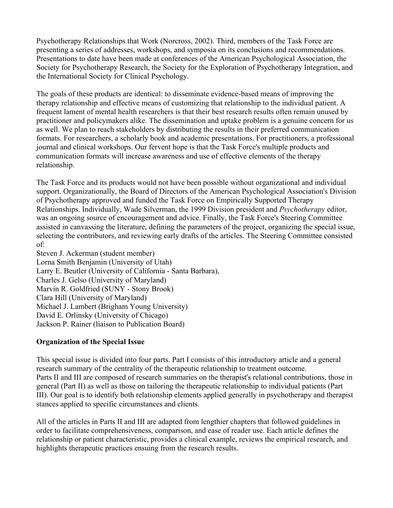Psychotherapy Relationships that Work (Norcross, 2002). Third, members of the Task Force are presenting a series of addresses, workshops, and symposia on its conclusions and recommendations. Presentations to date have been made at conferences of the American Psychological Association, the Society for Psychotherapy Research, the Society for the Exploration of Psychotherapy Integration, and the International Society for Clinical Psychology.

The goals of these products are identical: to disseminate evidence-based means of improving the therapy relationship and effective means of customizing that relationship to the individual patient. A frequent lament of mental health researchers is that their best research results often remain unused by practitioner and policymakers alike. The dissemination and uptake problem is a genuine concern for us as well. We plan to reach stakeholders by distributing the results in their preferred communication formats. For researchers, a scholarly book and academic presentations. For practitioners, a professional journal and clinical workshops. Our fervent hope is that the Task Force's multiple products and communication formats will increase awareness and use of effective elements of the therapy relationship.

The Task Force and its products would not have been possible without organizational and individual support. Organizationally, the Board of Directors of the American Psychological Association's Division of Psychotherapy approved and funded the Task Force on Empirically Supported Therapy Relationships. Individually, Wade Silverman, the 1999 Division president and *Psychotherapy* editor, was an ongoing source of encouragement and advice. Finally, the Task Force's Steering Committee assisted in canvassing the literature, defining the parameters of the project, organizing the special issue, selecting the contributors, and reviewing early drafts of the articles. The Steering Committee consisted of:

Steven J. Ackerman (student member) Lorna Smith Benjamin (University of Utah) Larry E. Beutler (University of California - Santa Barbara), Charles J. Gelso (University of Maryland) Marvin R. Goldfried (SUNY - Stony Brook) Clara Hill (University of Maryland) Michael J. Lambert (Brigham Young University) David E. Orlinsky (University of Chicago) Jackson P. Rainer (liaison to Publication Board)

## Organization of the Special Issue

This special issue is divided into four parts. Part I consists of this introductory article and a general research summary of the centrality of the therapeutic relationship to treatment outcome. Parts II and III are composed of research summaries on the therapist's relational contributions, those in general (Part II) as well as those on tailoring the therapeutic relationship to individual patients (Part III). Our goal is to identify both relationship elements applied generally in psychotherapy and therapist stances applied to specific circumstances and clients.

All of the articles in Parts II and III are adapted from lengthier chapters that followed guidelines in order to facilitate comprehensiveness, comparison, and ease of reader use. Each article defines the relationship or patient characteristic, provides a clinical example, reviews the empirical research, and highlights therapeutic practices ensuing from the research results.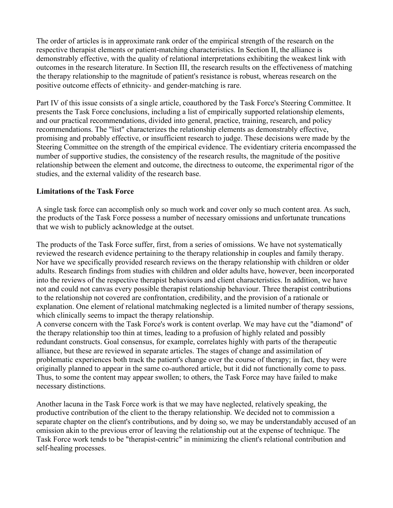The order of articles is in approximate rank order of the empirical strength of the research on the respective therapist elements or patient-matching characteristics. In Section II, the alliance is demonstrably effective, with the quality of relational interpretations exhibiting the weakest link with outcomes in the research literature. In Section III, the research results on the effectiveness of matching the therapy relationship to the magnitude of patient's resistance is robust, whereas research on the positive outcome effects of ethnicity- and gender-matching is rare.

Part IV of this issue consists of a single article, coauthored by the Task Force's Steering Committee. It presents the Task Force conclusions, including a list of empirically supported relationship elements, and our practical recommendations, divided into general, practice, training, research, and policy recommendations. The "list" characterizes the relationship elements as demonstrably effective, promising and probably effective, or insufficient research to judge. These decisions were made by the Steering Committee on the strength of the empirical evidence. The evidentiary criteria encompassed the number of supportive studies, the consistency of the research results, the magnitude of the positive relationship between the element and outcome, the directness to outcome, the experimental rigor of the studies, and the external validity of the research base.

#### Limitations of the Task Force

A single task force can accomplish only so much work and cover only so much content area. As such, the products of the Task Force possess a number of necessary omissions and unfortunate truncations that we wish to publicly acknowledge at the outset.

The products of the Task Force suffer, first, from a series of omissions. We have not systematically reviewed the research evidence pertaining to the therapy relationship in couples and family therapy. Nor have we specifically provided research reviews on the therapy relationship with children or older adults. Research findings from studies with children and older adults have, however, been incorporated into the reviews of the respective therapist behaviours and client characteristics. In addition, we have not and could not canvas every possible therapist relationship behaviour. Three therapist contributions to the relationship not covered are confrontation, credibility, and the provision of a rationale or explanation. One element of relational matchmaking neglected is a limited number of therapy sessions, which clinically seems to impact the therapy relationship.

A converse concern with the Task Force's work is content overlap. We may have cut the "diamond" of the therapy relationship too thin at times, leading to a profusion of highly related and possibly redundant constructs. Goal consensus, for example, correlates highly with parts of the therapeutic alliance, but these are reviewed in separate articles. The stages of change and assimilation of problematic experiences both track the patient's change over the course of therapy; in fact, they were originally planned to appear in the same co-authored article, but it did not functionally come to pass. Thus, to some the content may appear swollen; to others, the Task Force may have failed to make necessary distinctions.

Another lacuna in the Task Force work is that we may have neglected, relatively speaking, the productive contribution of the client to the therapy relationship. We decided not to commission a separate chapter on the client's contributions, and by doing so, we may be understandably accused of an omission akin to the previous error of leaving the relationship out at the expense of technique. The Task Force work tends to be "therapist-centric" in minimizing the client's relational contribution and self-healing processes.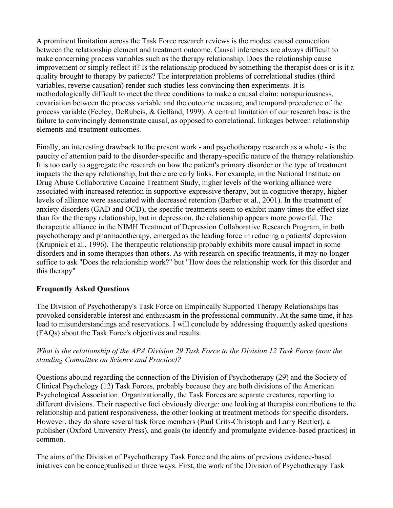A prominent limitation across the Task Force research reviews is the modest causal connection between the relationship element and treatment outcome. Causal inferences are always difficult to make concerning process variables such as the therapy relationship. Does the relationship cause improvement or simply reflect it? Is the relationship produced by something the therapist does or is it a quality brought to therapy by patients? The interpretation problems of correlational studies (third variables, reverse causation) render such studies less convincing then experiments. It is methodologically difficult to meet the three conditions to make a causal claim: nonspuriousness, covariation between the process variable and the outcome measure, and temporal precedence of the process variable (Feeley, DeRubeis, & Gelfand, 1999). A central limitation of our research base is the failure to convincingly demonstrate causal, as opposed to correlational, linkages between relationship elements and treatment outcomes.

Finally, an interesting drawback to the present work - and psychotherapy research as a whole - is the paucity of attention paid to the disorder-specific and therapy-specific nature of the therapy relationship. It is too early to aggregate the research on how the patient's primary disorder or the type of treatment impacts the therapy relationship, but there are early links. For example, in the National Institute on Drug Abuse Collaborative Cocaine Treatment Study, higher levels of the working alliance were associated with increased retention in supportive-expressive therapy, but in cognitive therapy, higher levels of alliance were associated with decreased retention (Barber et al., 2001). In the treatment of anxiety disorders (GAD and OCD), the specific treatments seem to exhibit many times the effect size than for the therapy relationship, but in depression, the relationship appears more powerful. The therapeutic alliance in the NIMH Treatment of Depression Collaborative Research Program, in both psychotherapy and pharmacotherapy, emerged as the leading force in reducing a patients' depression (Krupnick et al., 1996). The therapeutic relationship probably exhibits more causal impact in some disorders and in some therapies than others. As with research on specific treatments, it may no longer suffice to ask "Does the relationship work?" but "How does the relationship work for this disorder and this therapy"

## Frequently Asked Questions

The Division of Psychotherapy's Task Force on Empirically Supported Therapy Relationships has provoked considerable interest and enthusiasm in the professional community. At the same time, it has lead to misunderstandings and reservations. I will conclude by addressing frequently asked questions (FAQs) about the Task Force's objectives and results.

## *What is the relationship of the APA Division 29 Task Force to the Division 12 Task Force (now the standing Committee on Science and Practice)?*

Questions abound regarding the connection of the Division of Psychotherapy (29) and the Society of Clinical Psychology (12) Task Forces, probably because they are both divisions of the American Psychological Association. Organizationally, the Task Forces are separate creatures, reporting to different divisions. Their respective foci obviously diverge: one looking at therapist contributions to the relationship and patient responsiveness, the other looking at treatment methods for specific disorders. However, they do share several task force members (Paul Crits-Christoph and Larry Beutler), a publisher (Oxford University Press), and goals (to identify and promulgate evidence-based practices) in common.

The aims of the Division of Psychotherapy Task Force and the aims of previous evidence-based iniatives can be conceptualised in three ways. First, the work of the Division of Psychotherapy Task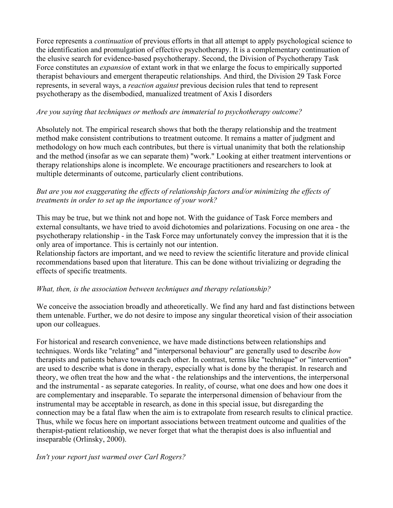Force represents a *continuation* of previous efforts in that all attempt to apply psychological science to the identification and promulgation of effective psychotherapy. It is a complementary continuation of the elusive search for evidence-based psychotherapy. Second, the Division of Psychotherapy Task Force constitutes an *expansion* of extant work in that we enlarge the focus to empirically supported therapist behaviours and emergent therapeutic relationships. And third, the Division 29 Task Force represents, in several ways, a *reaction against* previous decision rules that tend to represent psychotherapy as the disembodied, manualized treatment of Axis I disorders

#### *Are you saying that techniques or methods are immaterial to psychotherapy outcome?*

Absolutely not. The empirical research shows that both the therapy relationship and the treatment method make consistent contributions to treatment outcome. It remains a matter of judgment and methodology on how much each contributes, but there is virtual unanimity that both the relationship and the method (insofar as we can separate them) "work." Looking at either treatment interventions or therapy relationships alone is incomplete. We encourage practitioners and researchers to look at multiple determinants of outcome, particularly client contributions.

#### *But are you not exaggerating the effects of relationship factors and/or minimizing the effects of treatments in order to set up the importance of your work?*

This may be true, but we think not and hope not. With the guidance of Task Force members and external consultants, we have tried to avoid dichotomies and polarizations. Focusing on one area - the psychotherapy relationship - in the Task Force may unfortunately convey the impression that it is the only area of importance. This is certainly not our intention.

Relationship factors are important, and we need to review the scientific literature and provide clinical recommendations based upon that literature. This can be done without trivializing or degrading the effects of specific treatments.

## *What, then, is the association between techniques and therapy relationship?*

We conceive the association broadly and atheoretically. We find any hard and fast distinctions between them untenable. Further, we do not desire to impose any singular theoretical vision of their association upon our colleagues.

For historical and research convenience, we have made distinctions between relationships and techniques. Words like "relating" and "interpersonal behaviour" are generally used to describe *how* therapists and patients behave towards each other. In contrast, terms like "technique" or "intervention" are used to describe what is done in therapy, especially what is done by the therapist. In research and theory, we often treat the how and the what - the relationships and the interventions, the interpersonal and the instrumental - as separate categories. In reality, of course, what one does and how one does it are complementary and inseparable. To separate the interpersonal dimension of behaviour from the instrumental may be acceptable in research, as done in this special issue, but disregarding the connection may be a fatal flaw when the aim is to extrapolate from research results to clinical practice. Thus, while we focus here on important associations between treatment outcome and qualities of the therapist-patient relationship, we never forget that what the therapist does is also influential and inseparable (Orlinsky, 2000).

#### *Isn't your report just warmed over Carl Rogers?*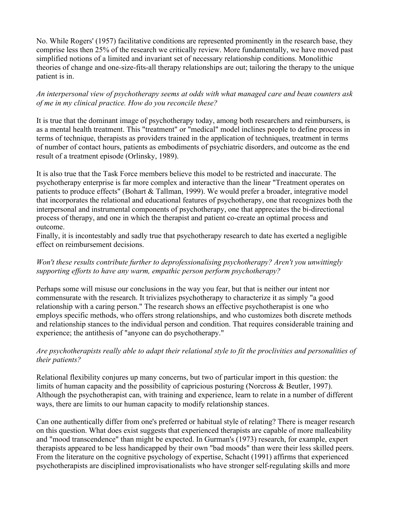No. While Rogers' (1957) facilitative conditions are represented prominently in the research base, they comprise less then 25% of the research we critically review. More fundamentally, we have moved past simplified notions of a limited and invariant set of necessary relationship conditions. Monolithic theories of change and one-size-fits-all therapy relationships are out; tailoring the therapy to the unique patient is in.

*An interpersonal view of psychotherapy seems at odds with what managed care and bean counters ask of me in my clinical practice. How do you reconcile these?*

It is true that the dominant image of psychotherapy today, among both researchers and reimbursers, is as a mental health treatment. This "treatment" or "medical" model inclines people to define process in terms of technique, therapists as providers trained in the application of techniques, treatment in terms of number of contact hours, patients as embodiments of psychiatric disorders, and outcome as the end result of a treatment episode (Orlinsky, 1989).

It is also true that the Task Force members believe this model to be restricted and inaccurate. The psychotherapy enterprise is far more complex and interactive than the linear "Treatment operates on patients to produce effects" (Bohart & Tallman, 1999). We would prefer a broader, integrative model that incorporates the relational and educational features of psychotherapy, one that recognizes both the interpersonal and instrumental components of psychotherapy, one that appreciates the bi-directional process of therapy, and one in which the therapist and patient co-create an optimal process and outcome.

Finally, it is incontestably and sadly true that psychotherapy research to date has exerted a negligible effect on reimbursement decisions.

# *Won't these results contribute further to deprofessionalising psychotherapy? Aren't you unwittingly supporting efforts to have any warm, empathic person perform psychotherapy?*

Perhaps some will misuse our conclusions in the way you fear, but that is neither our intent nor commensurate with the research. It trivializes psychotherapy to characterize it as simply "a good relationship with a caring person." The research shows an effective psychotherapist is one who employs specific methods, who offers strong relationships, and who customizes both discrete methods and relationship stances to the individual person and condition. That requires considerable training and experience; the antithesis of "anyone can do psychotherapy."

# *Are psychotherapists really able to adapt their relational style to fit the proclivities and personalities of their patients?*

Relational flexibility conjures up many concerns, but two of particular import in this question: the limits of human capacity and the possibility of capricious posturing (Norcross & Beutler, 1997). Although the psychotherapist can, with training and experience, learn to relate in a number of different ways, there are limits to our human capacity to modify relationship stances.

Can one authentically differ from one's preferred or habitual style of relating? There is meager research on this question. What does exist suggests that experienced therapists are capable of more malleability and "mood transcendence" than might be expected. In Gurman's (1973) research, for example, expert therapists appeared to be less handicapped by their own "bad moods" than were their less skilled peers. From the literature on the cognitive psychology of expertise, Schacht (1991) affirms that experienced psychotherapists are disciplined improvisationalists who have stronger self-regulating skills and more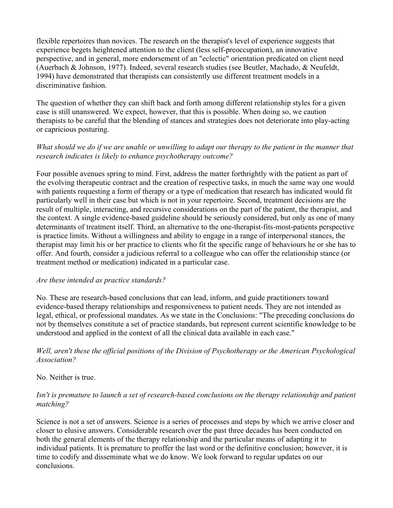flexible repertoires than novices. The research on the therapist's level of experience suggests that experience begets heightened attention to the client (less self-preoccupation), an innovative perspective, and in general, more endorsement of an "eclectic" orientation predicated on client need (Auerbach & Johnson, 1977). Indeed, several research studies (see Beutler, Machado, & Neufeldt, 1994) have demonstrated that therapists can consistently use different treatment models in a discriminative fashion.

The question of whether they can shift back and forth among different relationship styles for a given case is still unanswered. We expect, however, that this is possible. When doing so, we caution therapists to be careful that the blending of stances and strategies does not deteriorate into play-acting or capricious posturing.

# *What should we do if we are unable or unwilling to adapt our therapy to the patient in the manner that research indicates is likely to enhance psychotherapy outcome?*

Four possible avenues spring to mind. First, address the matter forthrightly with the patient as part of the evolving therapeutic contract and the creation of respective tasks, in much the same way one would with patients requesting a form of therapy or a type of medication that research has indicated would fit particularly well in their case but which is not in your repertoire. Second, treatment decisions are the result of multiple, interacting, and recursive considerations on the part of the patient, the therapist, and the context. A single evidence-based guideline should be seriously considered, but only as one of many determinants of treatment itself. Third, an alternative to the one-therapist-fits-most-patients perspective is practice limits. Without a willingness and ability to engage in a range of interpersonal stances, the therapist may limit his or her practice to clients who fit the specific range of behaviours he or she has to offer. And fourth, consider a judicious referral to a colleague who can offer the relationship stance (or treatment method or medication) indicated in a particular case.

#### *Are these intended as practice standards?*

No. These are research-based conclusions that can lead, inform, and guide practitioners toward evidence-based therapy relationships and responsiveness to patient needs. They are not intended as legal, ethical, or professional mandates. As we state in the Conclusions: "The preceding conclusions do not by themselves constitute a set of practice standards, but represent current scientific knowledge to be understood and applied in the context of all the clinical data available in each case."

## *Well, aren't these the official positions of the Division of Psychotherapy or the American Psychological Association?*

## No. Neither is true.

## *Isn't is premature to launch a set of research-based conclusions on the therapy relationship and patient matching?*

Science is not a set of answers. Science is a series of processes and steps by which we arrive closer and closer to elusive answers. Considerable research over the past three decades has been conducted on both the general elements of the therapy relationship and the particular means of adapting it to individual patients. It is premature to proffer the last word or the definitive conclusion; however, it is time to codify and disseminate what we do know. We look forward to regular updates on our conclusions.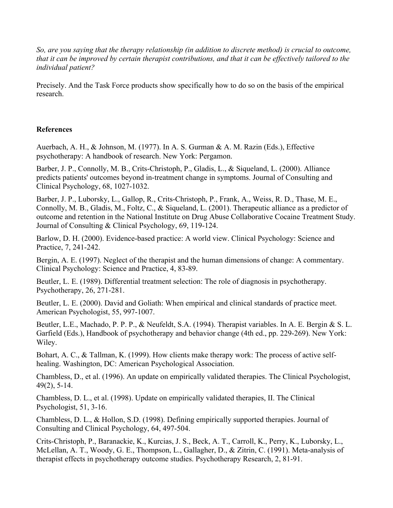*So, are you saying that the therapy relationship (in addition to discrete method) is crucial to outcome, that it can be improved by certain therapist contributions, and that it can be effectively tailored to the individual patient?*

Precisely. And the Task Force products show specifically how to do so on the basis of the empirical research.

# **References**

Auerbach, A. H., & Johnson, M. (1977). In A. S. Gurman & A. M. Razin (Eds.), Effective psychotherapy: A handbook of research. New York: Pergamon.

Barber, J. P., Connolly, M. B., Crits-Christoph, P., Gladis, L., & Siqueland, L. (2000). Alliance predicts patients' outcomes beyond in-treatment change in symptoms. Journal of Consulting and Clinical Psychology, 68, 1027-1032.

Barber, J. P., Luborsky, L., Gallop, R., Crits-Christoph, P., Frank, A., Weiss, R. D., Thase, M. E., Connolly, M. B., Gladis, M., Foltz, C., & Siqueland, L. (2001). Therapeutic alliance as a predictor of outcome and retention in the National Institute on Drug Abuse Collaborative Cocaine Treatment Study. Journal of Consulting & Clinical Psychology, 69, 119-124.

Barlow, D. H. (2000). Evidence-based practice: A world view. Clinical Psychology: Science and Practice, 7, 241-242.

Bergin, A. E. (1997). Neglect of the therapist and the human dimensions of change: A commentary. Clinical Psychology: Science and Practice, 4, 83-89.

Beutler, L. E. (1989). Differential treatment selection: The role of diagnosis in psychotherapy. Psychotherapy, 26, 271-281.

Beutler, L. E. (2000). David and Goliath: When empirical and clinical standards of practice meet. American Psychologist, 55, 997-1007.

Beutler, L.E., Machado, P. P. P., & Neufeldt, S.A. (1994). Therapist variables. In A. E. Bergin & S. L. Garfield (Eds.), Handbook of psychotherapy and behavior change (4th ed., pp. 229-269). New York: Wiley.

Bohart, A. C., & Tallman, K. (1999). How clients make therapy work: The process of active selfhealing. Washington, DC: American Psychological Association.

Chambless, D., et al. (1996). An update on empirically validated therapies. The Clinical Psychologist, 49(2), 5-14.

Chambless, D. L., et al. (1998). Update on empirically validated therapies, II. The Clinical Psychologist, 51, 3-16.

Chambless, D. L., & Hollon, S.D. (1998). Defining empirically supported therapies. Journal of Consulting and Clinical Psychology, 64, 497-504.

Crits-Christoph, P., Baranackie, K., Kurcias, J. S., Beck, A. T., Carroll, K., Perry, K., Luborsky, L., McLellan, A. T., Woody, G. E., Thompson, L., Gallagher, D., & Zitrin, C. (1991). Meta-analysis of therapist effects in psychotherapy outcome studies. Psychotherapy Research, 2, 81-91.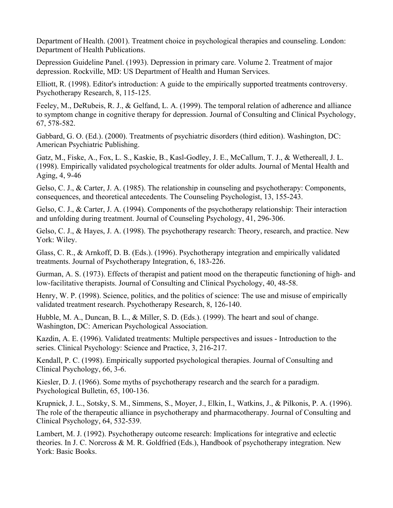Department of Health. (2001). Treatment choice in psychological therapies and counseling. London: Department of Health Publications.

Depression Guideline Panel. (1993). Depression in primary care. Volume 2. Treatment of major depression. Rockville, MD: US Department of Health and Human Services.

Elliott, R. (1998). Editor's introduction: A guide to the empirically supported treatments controversy. Psychotherapy Research, 8, 115-125.

Feeley, M., DeRubeis, R. J., & Gelfand, L. A. (1999). The temporal relation of adherence and alliance to symptom change in cognitive therapy for depression. Journal of Consulting and Clinical Psychology, 67, 578-582.

Gabbard, G. O. (Ed.). (2000). Treatments of psychiatric disorders (third edition). Washington, DC: American Psychiatric Publishing.

Gatz, M., Fiske, A., Fox, L. S., Kaskie, B., Kasl-Godley, J. E., McCallum, T. J., & Wethereall, J. L. (1998). Empirically validated psychological treatments for older adults. Journal of Mental Health and Aging, 4, 9-46

Gelso, C. J., & Carter, J. A. (1985). The relationship in counseling and psychotherapy: Components, consequences, and theoretical antecedents. The Counseling Psychologist, 13, 155-243.

Gelso, C. J., & Carter, J. A. (1994). Components of the psychotherapy relationship: Their interaction and unfolding during treatment. Journal of Counseling Psychology, 41, 296-306.

Gelso, C. J., & Hayes, J. A. (1998). The psychotherapy research: Theory, research, and practice. New York: Wiley.

Glass, C. R., & Arnkoff, D. B. (Eds.). (1996). Psychotherapy integration and empirically validated treatments. Journal of Psychotherapy Integration, 6, 183-226.

Gurman, A. S. (1973). Effects of therapist and patient mood on the therapeutic functioning of high- and low-facilitative therapists. Journal of Consulting and Clinical Psychology, 40, 48-58.

Henry, W. P. (1998). Science, politics, and the politics of science: The use and misuse of empirically validated treatment research. Psychotherapy Research, 8, 126-140.

Hubble, M. A., Duncan, B. L., & Miller, S. D. (Eds.). (1999). The heart and soul of change. Washington, DC: American Psychological Association.

Kazdin, A. E. (1996). Validated treatments: Multiple perspectives and issues - Introduction to the series. Clinical Psychology: Science and Practice, 3, 216-217.

Kendall, P. C. (1998). Empirically supported psychological therapies. Journal of Consulting and Clinical Psychology, 66, 3-6.

Kiesler, D. J. (1966). Some myths of psychotherapy research and the search for a paradigm. Psychological Bulletin, 65, 100-136.

Krupnick, J. L., Sotsky, S. M., Simmens, S., Moyer, J., Elkin, I., Watkins, J., & Pilkonis, P. A. (1996). The role of the therapeutic alliance in psychotherapy and pharmacotherapy. Journal of Consulting and Clinical Psychology, 64, 532-539.

Lambert, M. J. (1992). Psychotherapy outcome research: Implications for integrative and eclectic theories. In J. C. Norcross & M. R. Goldfried (Eds.), Handbook of psychotherapy integration. New York: Basic Books.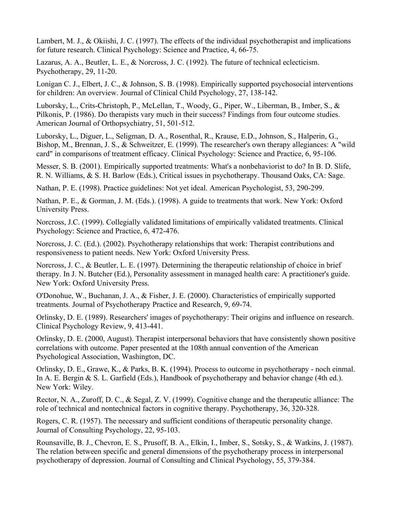Lambert, M. J., & Okiishi, J. C. (1997). The effects of the individual psychotherapist and implications for future research. Clinical Psychology: Science and Practice, 4, 66-75.

Lazarus, A. A., Beutler, L. E., & Norcross, J. C. (1992). The future of technical eclecticism. Psychotherapy, 29, 11-20.

Lonigan C. J., Elbert, J. C., & Johnson, S. B. (1998). Empirically supported psychosocial interventions for children: An overview. Journal of Clinical Child Psychology, 27, 138-142.

Luborsky, L., Crits-Christoph, P., McLellan, T., Woody, G., Piper, W., Liberman, B., Imber, S., & Pilkonis, P. (1986). Do therapists vary much in their success? Findings from four outcome studies. American Journal of Orthopsychiatry, 51, 501-512.

Luborsky, L., Diguer, L., Seligman, D. A., Rosenthal, R., Krause, E.D., Johnson, S., Halperin, G., Bishop, M., Brennan, J. S., & Schweitzer, E. (1999). The researcher's own therapy allegiances: A "wild card" in comparisons of treatment efficacy. Clinical Psychology: Science and Practice, 6, 95-106.

Messer, S. B. (2001). Empirically supported treatments: What's a nonbehaviorist to do? In B. D. Slife, R. N. Williams, & S. H. Barlow (Eds.), Critical issues in psychotherapy. Thousand Oaks, CA: Sage.

Nathan, P. E. (1998). Practice guidelines: Not yet ideal. American Psychologist, 53, 290-299.

Nathan, P. E., & Gorman, J. M. (Eds.). (1998). A guide to treatments that work. New York: Oxford University Press.

Norcross, J.C. (1999). Collegially validated limitations of empirically validated treatments. Clinical Psychology: Science and Practice, 6, 472-476.

Norcross, J. C. (Ed.). (2002). Psychotherapy relationships that work: Therapist contributions and responsiveness to patient needs. New York: Oxford University Press.

Norcross, J. C., & Beutler, L. E. (1997). Determining the therapeutic relationship of choice in brief therapy. In J. N. Butcher (Ed.), Personality assessment in managed health care: A practitioner's guide. New York: Oxford University Press.

O'Donohue, W., Buchanan, J. A., & Fisher, J. E. (2000). Characteristics of empirically supported treatments. Journal of Psychotherapy Practice and Research, 9, 69-74.

Orlinsky, D. E. (1989). Researchers' images of psychotherapy: Their origins and influence on research. Clinical Psychology Review, 9, 413-441.

Orlinsky, D. E. (2000, August). Therapist interpersonal behaviors that have consistently shown positive correlations with outcome. Paper presented at the 108th annual convention of the American Psychological Association, Washington, DC.

Orlinsky, D. E., Grawe, K., & Parks, B. K. (1994). Process to outcome in psychotherapy - noch einmal. In A. E. Bergin & S. L. Garfield (Eds.), Handbook of psychotherapy and behavior change (4th ed.). New York: Wiley.

Rector, N. A., Zuroff, D. C., & Segal, Z. V. (1999). Cognitive change and the therapeutic alliance: The role of technical and nontechnical factors in cognitive therapy. Psychotherapy, 36, 320-328.

Rogers, C. R. (1957). The necessary and sufficient conditions of therapeutic personality change. Journal of Consulting Psychology, 22, 95-103.

Rounsaville, B. J., Chevron, E. S., Prusoff, B. A., Elkin, I., Imber, S., Sotsky, S., & Watkins, J. (1987). The relation between specific and general dimensions of the psychotherapy process in interpersonal psychotherapy of depression. Journal of Consulting and Clinical Psychology, 55, 379-384.